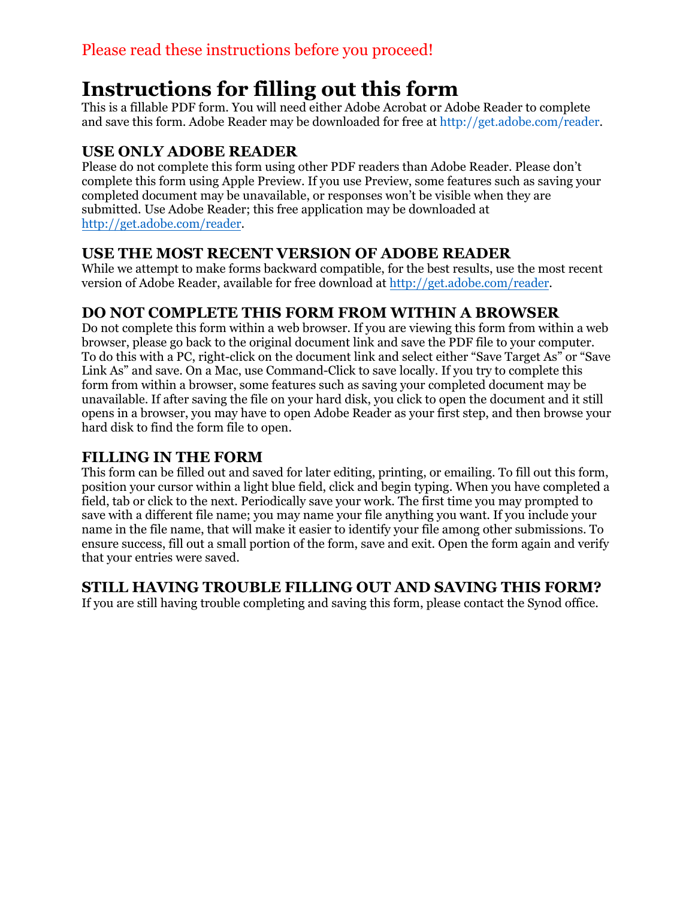# **Instructions for filling out this form**

This is a fillable PDF form. You will need either Adobe Acrobat or Adobe Reader to complete and save this form. Adobe Reader may be downloaded for free at http://get.adobe.com/reader.

## **USE ONLY ADOBE READER**

Please do not complete this form using other PDF readers than Adobe Reader. Please don't complete this form using Apple Preview. If you use Preview, some features such as saving your completed document may be unavailable, or responses won't be visible when they are submitted. Use Adobe Reader; this free application may be downloaded at http://get.adobe.com/reader.

### **USE THE MOST RECENT VERSION OF ADOBE READER**

[While we attempt to make for](http://get.adobe.com/reader)ms backward compatible, for the best results, use the most recent version of Adobe Reader, available for free download at [http://get.adobe.com/reader.](http://get.adobe.com/reader)

## **DO NOT COMPLETE THIS FORM FROM WITHIN A BROWSER**

Do not complete this form within a web browser. If you are viewing this form from within a web browser, please go back to the original document link and save the PDF file to your computer. To do this with a PC, right-click on the document link and select either "Save Target As" or "Save Link As" and save. On a Mac, use Command-Click to save locally. If you try to complete this form from within a browser, some features such as saving your completed document may be unavailable. If after saving the file on your hard disk, you click to open the document and it still opens in a browser, you may have to open Adobe Reader as your first step, and then browse your hard disk to find the form file to open.

#### **FILLING IN THE FORM**

This form can be filled out and saved for later editing, printing, or emailing. To fill out this form, position your cursor within a light blue field, click and begin typing. When you have completed a field, tab or click to the next. Periodically save your work. The first time you may prompted to save with a different file name; you may name your file anything you want. If you include your name in the file name, that will make it easier to identify your file among other submissions. To ensure success, fill out a small portion of the form, save and exit. Open the form again and verify that your entries were saved.

#### **STILL HAVING TROUBLE FILLING OUT AND SAVING THIS FORM?**

If you are still having trouble completing and saving this form, please contact the Synod office.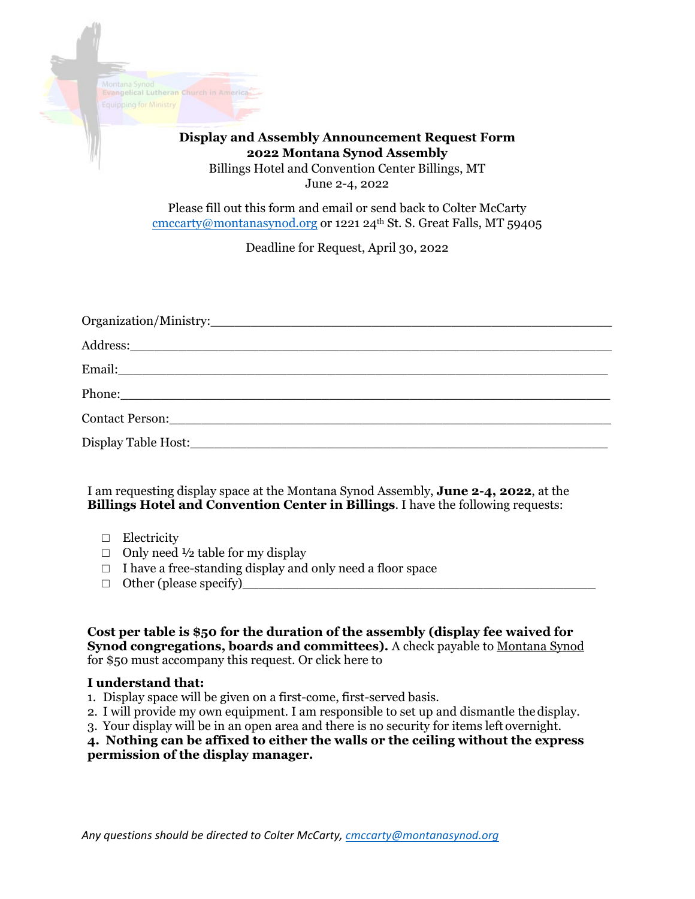

#### **Display and Assembly Announcement Request Form 2022 Montana Synod Assembly** Billings Hotel and Convention Center Billings, MT

June 2-4, 2022

Please fill out this form and email or send back to Colter McCarty [cmccarty@montanasynod.org](mailto:cmccarty@montanasynod.org) or 1221 24<sup>th</sup> St. S. Great Falls, MT 59405

Deadline for Request, April 30, 2022

| Contact Person: 2008 and 2008 and 2008 and 2008 and 2008 and 2008 and 2008 and 2008 and 2008 and 2008 and 2008 |
|----------------------------------------------------------------------------------------------------------------|
|                                                                                                                |

I am requesting display space at the Montana Synod Assembly, **June 2-4, 2022**, at the **Billings Hotel and Convention Center in Billings**. I have the following requests:

- □ Electricity
- $\Box$  Only need  $\frac{1}{2}$  table for my display
- $\Box$  I have a free-standing display and only need a floor space
- $\Box$  Other (please specify)

**Cost per table is \$50 for the duration of the assembly (display fee waived for Synod congregations, boards and committees).** A check payable to Montana Synod for \$50 must accompany this request. Or click here to

#### **I understand that:**

- 1. Display space will be given on a first-come, first-served basis.
- 2. I will provide my own equipment. I am responsible to set up and dismantle the display.
- 3. Your display will be in an open area and there is no security for items left overnight.

**4. Nothing can be affixed to either the walls or the ceiling without the express permission of the display manager.**